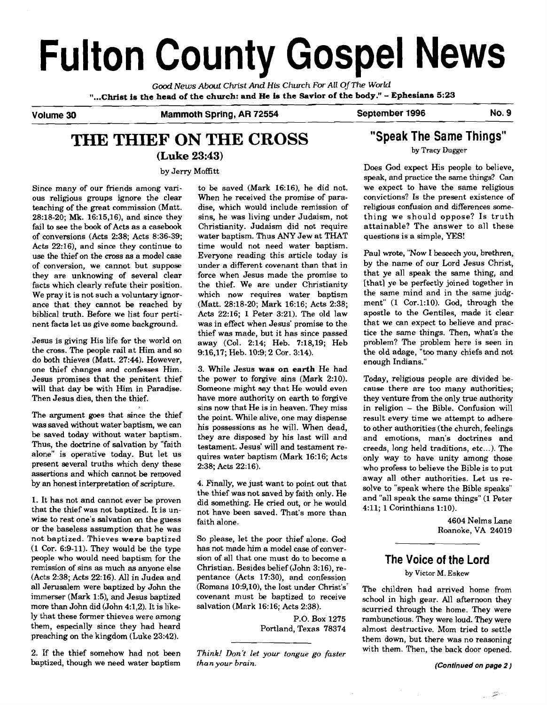# **Fulton County Gospel News**

**Gd** *News Aboui* **Christ** *And* **His Church** *For All OfThe World*  **"...CMst is the head of the church: and He is the Savior of the body!'** - **Ephesians 5:23** 

Volume 30 Mammoth Spring, AR 72554 September 1996 No. 9

# **THE THIEF ON THE CROSS**

**(Luke 23:43)** 

by Jerry Mofitt

Since many of our friends among various religious groups ignore the clear teaching of the great commission (Matt. 28:18-20; **Mk.** 16:15,16), and since they fail to see the book of Acts as a casebook of conversions (Acts 2:38; Acts 8:36-39; Acts 22:16), and since they continue to use the thief on the cross as a model case of conversion, we cannot but suppose they are unknowing of several clear facts which clearly refute their position. We pray it is not such a voluntary ignorance that they cannot be reached by biblical truth. Before we list four pertinent facts let us give some background.

Jesus is giving His life for the world on the cross. The people rail at Him and so do both thieves (Matt. 27:44). However, one thief changes and confesses Him. Jesus promises that the penitent thief will that day be with Him in Paradise. Then Jesus dies, then the thief.

The argument goes that since the thief was saved without water baptism, we can be saved today without water baptism. Thus, the doctrine of salvation by "faith alone" is operative today. But let us present several truths which deny these assertions and which cannot be removed by an honest interpretation of scripture.

1. It has not and cannot ever be proven that the thief was not baptized. It is unwise to rest one's salvation on the guess or the baseless assumption that he was not baptized. Thieves **were** baptized (1 Cor. 6:9-11). They would be the type people who would need baptism for the remission of sins as much as anyone else  $(Acts 2:38; Acts 22:16)$ . All in Judea and all Jerusalem were baptized by John the immerser (Mark 1:5), and Jesus baptized more than John did (John 4:1,2). It is likely that these former thieves were among them, especially since they had heard preaching on the kingdom (Luke 23:42).

2. If the thief somehow had not been baptized, though we need water baptism

to be saved (Mark 16:16), he did not. When he received the promise of paradise, which would include remission of sins, he was living under Judaism, not Christianity. Judaism did not require water baptism. Thus ANY Jew at THAT time would not need water baptism. Everyone reading this article today is under a different covenant than that in force when Jesus made the promise to the thief. We are under Christianity which now requires water baptism (Matt. 28:18-20; Mark 16:16; Acts 2:38; Acts 22:16; 1 Peter 3:21). The old law was in effect when Jesus' promise to the thief was made, but it has since passed away (Col. 2:14; Heb. 7:18,19; Heb 916,17; Heb. 10:9; 2 Cor. 314).

3. While Jesus **was** on **earth** He had the power to forgive sins (Mark 2:lO). Someone might say that He would even have more authority on earth to forgive sins now that He is in heaven. They miss the point. While alive, one may dispense his possessions as he will. When dead, they are disposed by his last will and testament. Jesus' will and testament requires water baptism (Mark 16:16; Acts 2:38; **Acts** 22:16).

4. Finally, we just want to point out that the thief was not saved by faith only. He did something. He cried out, or he would not have been saved. That's more than faith alone.

So please, let the poor thief alone. God has not made him a model case of conversion of all that one must do to become a Christian. Besides belief (John 3:16), repentance (Acts 17:30), and confession (Romans 10:9,10), the lost under Christ's' covenant must be baptized to receive salvation (Mark 16:16; Acts 2:38).

> P.O. Box 1275 Portland, Texas 78374

*Think! Don't let your tongue go faster than your brain.* 

**"Speak The Same Things" by Tracy Dugger** 

Does God expect His people to believe, speak, and practice the same things? Can we expect to have the same religious convictions? Is the present existence of religious confusion and differences something we should oppose? Is truth attainable? The answer to all these questions is a simple, YES!

Paul wrote, "Now I beseech you, brethren, by the name of our Lord Jesus Christ, that ye all speak the same thing, and [that] ye be perfectly joined together in the same mind and in the same judgment" (1 Cor.l:lO). God, through the apostle to the Gentiles, made it clear that we can expect to believe and practice the same things. Then, what's the problem? The problem here is seen in the old adage, "too many chiefs and not enough Indians."

Today, religious people are divided because there are too many authorities; they venture from the only true authority in religion - the Bible. Confusion will result every time we attempt to adhere to other authorities (the church, feelings and emotions, man's doctrines and creeds, long held traditions, etc...). The only way to have unity among those who profess to believe the Bible is to put away all other authorities. Let us resolve to "speak where the Bible speaks" and "all speak the same things" (1 Peter 4:ll; 1 Corinthians 1:lO).

> 4604 Nelms Lane Roanoke, VA 24019

# **The Voice of the Lord**

**by Victor M. Eskew** 

The children had arrived home from school in high gear. All afternoon they scurried through the home. They were rambunctious. They were loud. They were almost destructive. Mom tried to settle them down, but there was no reasoning with them. Then, the back door opened.

**(Continued on page 2** )

 $\label{eq:2} \frac{\partial \mathcal{B}_{\alpha}(\cdot)}{\partial \mathcal{B}_{\alpha}(\cdot)}=0$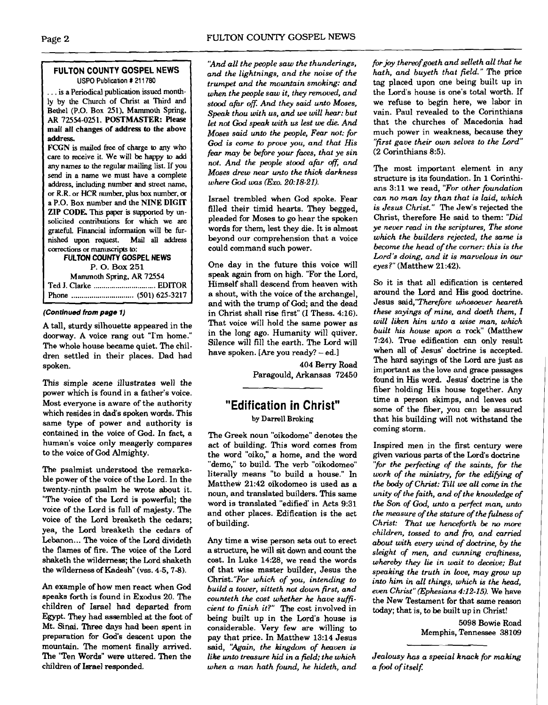# **FULTON COUNTY GOSPEL NEWS USPO Publication** # 21 1780

... is a Periodical publication issued monthly by the Church of Christ **at** Third **and**  Bethel (P.O. Box 251). Mammoth Spring, **AR** 72554-0251. POSTMASTER: Please mail all changes of address to the above address

FCGN is mailed **free** of charge to any who care to receive it. We will be happy to add any names to the regular mailing list. If you **send** in a name we must have a complete address, including number and street name, or R.R. or HCR number. plus box number, or a P.O. Box number and the NINE DIGIT ZIP CODE. This paper is supported by unsolicited contributions for which we are grateful. Financial **information** will be furnished upon request. Mail **all** address ~tions or manuscrips **to:** 

# **FULTON COUNTY GOSPEL NEWS**  P. **0. Box** <sup>251</sup> Mammoth Spring. AR 72554 Ted J. Clarke ............................... **EDlTOR**  Phone ............................... (501) 625-3217 **<sup>A</sup>**

# **(Continued from page 1)**

A tall, sturdy silhouette appeared in the doorway. A voice rang out "I'm home." The whole house became quiet. The children settled in their places. Dad had spoken.

This simple scene illustrates well the power which is found in a father's voice. Most everyone is aware of the authority which resides in dad's spoken words. This same type of power and authority is contained in the voice of God. In fact, a human's voice only meagerly compares to the voice of God Almighty.

The psalmist understood the remarkable power of the voice of the Lord. In the twenty-ninth psalm he wrote about it. "The voice of the Lord is powerful; the voice of the Lord is full of majesty. The voice of the Lord breaketh the cedars; yea, the Lord breaketh the cedars of Lebanon... The voice of the Lord divideth the flames of fire. The voice of the Lord shaketh the wilderness; the Lord shaketh the wilderness of Kadesh" (vss. 4-5, 7-8).

An example of how men react when God speaks forth is found in Exodus 20. The children of Israel had departed from Egypt. They had assembled at the foot of Mt. Sinai. Three days had been spent in preparation for God's descent upon the mountain. The moment finally arrived. The 'Ten Words" were uttered. Then the children of **Iarael** responded.

*'And all the people saw the thunderings, and the lightnings, and the noise of the trumpet and the mountain smoking: and when the people saw it, they removed, and stood afhr oft: And they said unto Moses, Speak thou with us, and we will hear: but let not God speak with us lest* **we** *die. And Moses said unto the people, Fear not; for God is come to prove you, and that His fear may be before your faces, that ye sin not. And the people stood afar ofi and Moses drew near unto the thick darkness where God was (Exo.* **20:18-21).** 

Israel trembled when God spoke. Fear filled their timid hearts. They begged, pleaded for Moses to go hear the spoken words for them, lest they die. It is almost beyond our comprehension that a voice could command such power.

One day in the future this voice will speak **again** from on high. "For the Lord, Himself shall descend from heaven with a shout, with the voice of the archangel, and with the trump of God, and the dead in Christ shall rise first" (I Thess. 4:16). That voice will hold the same power as in the long ago. Humanity will quiver. Silence will fill the earth. The Lord will have spoken. [Are you ready? - ed.]

> 404 Beny Road Paragould, Arkansas 72450

# **"Edification in Christ"**

# by Darrell Broking

The Greek noun "oikodome" denotes the act of building. This word comes from the word "oiko," a home, and the word "demo," to build. The verb "oikodomeo" literally means "to build a house." In Matthew 21:42 oikodomeo is used **as** a noun, and translated builders. This same word is translated "edified' in Acts 9:31 and other places. Edification is the act of building.

Any time a wise person sets out to erect a structure, he will sit down and count the cost. In Luke 14:28, we read the words of that wise master builder, Jesus the Christ."For *which of you, intending to build a tower, sitteth not down first, and counteth the cost whether he have sufficient to finish it?"* The cost involved in being built up in the Lord's house is considerable. Very few are willing to pay that price. In Matthew 13:14 Jesus said, *'Xgain, the kingdom of heaven is like unto tmsure hid in a field; the which when a man hath found, he hideth, and*  *for joy thereof goeth and selleth all that he hath, and buyeth that field.* " The price tag placed upon one being built up in the Lord's house is one's total worth. If we refuse to begin here, we labor in vain. Paul revealed to the Corinthians that the churches of Macedonia had much power in weakness, because they *"first gave their own selves to the Lord"*  (2 Corinthians 8:5).

The most important element in any structure is its foundation. In 1 Corinthians 3:11 we read, *"For other foundation can no man lay than that is laid, which is Jesus Christ."* The Jew's rejected the Christ, therefore He said to them: **"Did**  *ye never read in the scriptures, The stone which the builders rejected, the same is become the head of the cornec this is the Lord's doing, and it is marvelous in our eyes?"* (Matthew 21:42).

**So** it is that all edification is centered around the Lord and His good doctrine. Jesus said,"Therefbre *whosoever heareth these sayings of mine, and doeth them, I will liken him unto a wise man, which built his house upon a* rock" (Matthew 7:24). True edification can only result when all of Jesus' doctrine is accepted. The hard sayings of the Lord are just as important **as** the love and grace passages found in His word. Jesus' doctrine is the fiber holding His house together. Any time a person skimps, and leaves out some of the fiber, you can be assured that his building will not withstand the coming storm.

Inspired men in the first century were given various parts of the Lord's doctrine *"for the perfecting of the saints, fir the work of the ministry, for the edifiting of the body of Christ: Till* **we** *all come in the unity of the faith, and of the knowledge of the Son of God, unto a perfect man, unto the measure of the stature of the filness of Christ: That* **we** *henceforth be* **no** *more children, tossed to and* fro, *and carried about with every wind of doctrine, by the sleight of men, and cunning craftiness, whereby they lie in wait to deceive; But speaking the truth in love, may grow up into him in all things, which is the head, even Christ" (Ephesians* **492-15).** We have the New Testament for that same reason today; that is, to be built up in Christ!

> 5098 Bowie Road Memphis, Tennessee 38109

*Jealousy has a special knack for making a fool of itself:*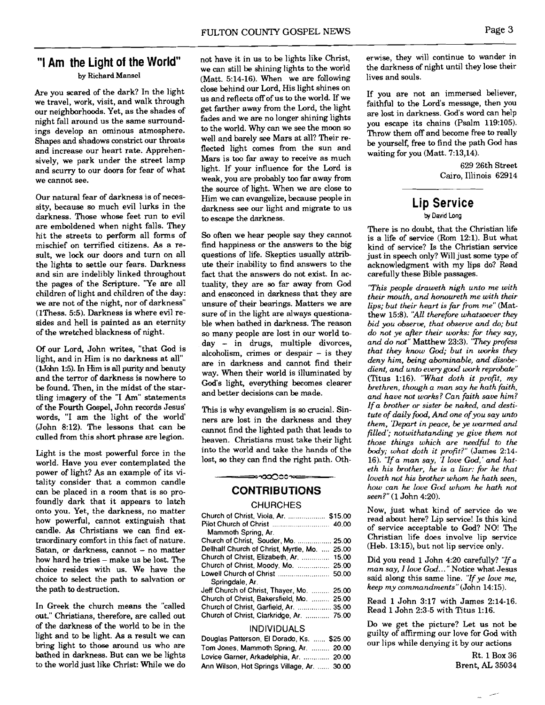Are you scared of the dark? In the light we travel, work, visit, and walk through our neighborhoods. Yet, as the shades of night fall around us the same surroundings develop an ominous atmosphere. Shapes and shadows constrict our throats and increase our heart rate. Apprehensively, we park under the street lamp and scurry to our doors for fear of what we cannot see.

Our natural fear of darkness is of necessity, because so much evil lurks in the darkness. Those whose feet run to evil are emboldened when night falls. They hit the streets to perform all forms of mischief on terrified citizens. **As** a result, we lock our doors and turn on all the lights to settle our fears. Darkness and sin are indelibly linked throughout the pages of the Scripture. "Ye are all children of light and children of the day: we are not of the night, nor of darkness" (1Thess. 5:5). Darkness is where evil resides and hell is painted as an eternity of the wretched blackness of night.

Of our Lord, John writes, "that God is light, and in Him is no darkness at all" (1John 1:5). In Him is all purity and beauty and the terror of darkness is nowhere to be found. Then, in the midst of the startling imagery of the "I Am" statements of the Fourth Gospel, John records Jesus' words, "I am the light of the world' (John 8:12). The lessons that can be culled from this short phrase are legion.

Light is the most powerful force in the world. Have you ever contemplated the power of light? As an example of its vitality consider that a common candle can be placed in a room that is so profoundly dark that it appears to latch onto you. Yet, the darkness, no matter how powerful, cannot extinguish that candle. **As** Christians we can find extraordinary comfort in this fact of nature. Satan, or darkness, cannot  $-$  no matter how hard he tries - make us be lost. The choice resides with us. We have the choice to select the path to salvation or the path to destruction.

In Greek the church means the "called out." Christians, therefore, are called out of the darkness of the world to be in the light and to be light. **As** a result we can bring light to those around us who are bathed in darkness. But can we be lights to the world just like Christ: While we do

we can still be shining lights to the world the darkness of  $M_{\text{out}}$  the still when we are following lives and souls. by Richard Mansel (Matt.  $5:14-16$ ). When we are following close behind our Lord, His light shines on us and reflects off of us to the world. If we get farther away from the Lord, the light fades and we are no longer shining lights to the world. Why can we see the moon so well and barely see Mars at all? Their reflected light comes from the sun and Mars is too far away to receive as much light. If your influence for the Lord is weak, you are probably too far away from the source of light. When we are close to Him we can evangelize, because people in darkness see our light and migrate to us to escape the darkness.

> So often we hear people say they cannot find happiness or the answers to the big questions of life. Skeptics usually attribute their inability to find answers to the fact that the answers do not exist. In actuality, they are **so** far away from God and ensconced in darkness that they are unsure of their bearings. Matters we are sure of in the light are always questionable when bathed in darkness. The reason so many people are lost in our world today - in drugs, multiple divorces, alcoholism, crimes or despair  $-$  is they are in darkness and cannot find their way. When their world is illuminated by God's light, everything becomes clearer and better decisions can be made.

> This is why evangelism is **so** crucial. Sinners are lost in the darkness and they cannot find the lighted path that leads to heaven. Christians must take their light **into** the world and take the hands of the lost, **so** they can find the right path. Oth-

# **CONTRIBUTIONS CHURCHES**

—∞∞∞∞<del>∞</del>

| Church of Christ, Viola, Ar.  \$15.00         |  |
|-----------------------------------------------|--|
|                                               |  |
| Mammoth Spring, Ar.                           |  |
| Church of Christ, Souder, Mo.  25.00          |  |
| Dellhalf Church of Christ, Myrtle, Mo.  25.00 |  |
| Church of Christ, Elizabeth, Ar.  15.00       |  |
| Church of Christ, Moody, Mo.  25.00           |  |
| Lowell Church of Christ  50.00                |  |
| Springdale, Ar.                               |  |
| Jeff Church of Christ, Thayer, Mo.  25.00     |  |
| Church of Christ, Bakersfield, Mo.  25.00     |  |
| Church of Christ, Garfield, Ar.  35.00        |  |
| Church of Christ, Clarkridge, Ar.  75.00      |  |
| .                                             |  |

### INDIVIDUALS

| Douglas Patterson, El Dorado, Ks.  \$25.00  |  |
|---------------------------------------------|--|
| Tom Jones, Mammoth Spring, Ar.  20.00       |  |
| Lovice Garner, Arkadelphia, Ar.  20.00      |  |
| Ann Wilson, Hot Springs Village, Ar.  30.00 |  |

**"1 Am the Light of the World"** not have it in us to be lights like Christ, erwise, they will continue to wander in we can still be shining lights to the world the darkness of night until they lose their

If you are not an immersed believer, faithful to the Lord's message, then you are lost in darkness. God's word can help you escape its chains (Psalm 119:105). Throw them off and become free to really be yourself, free to find the path God has waiting for you (Matt. 7:13,14).

> 629 26th Street Cairo, Illinois 62914

# **Lip Service**

### **by** David Long

There is no doubt, that the Christian life is a life of service (Rom 12:l). But what kind of service? Is the Christian service just in speech only? Will just some type of acknowledgment with my lips do? Read carefully these Bible passages.

*"This people draweth nigh unto me with their mouth, and honoureth me with their lips; but their heart is far from me"* (Matthew 15:8). *"All therefore whatsoever they bid you observe, that observe and do; but do not ye after their works: for they say, and do mt"* Matthew 23:3). *"They profess that they know God; but in works they deny him, being abominable, and disobe*dient, and unto every good work reprobate" (Titus 1:16). *"What doth it profit, my brethren, though a man say he hath faith, and have not works? Can faith save him? If a brother or sister be naked, and destitute of daily food, And one ofyou say unto them, 'Depart in peace, be ye warmed and filled'; notwithstanding ye give them not those things which are needful to the body; what doth it profit?"* (James 2:14- 16). *"Zf a man say, 'I love God,' and hnteth his brother, he is a liar: for he that loveth not his brother whom he hnth seen, how can he love God whom he hath not seen?"* (1 John 4:20).

Now, just what kind of service do we read about here? Lip service! Is this kind of service acceptable to God? NO! The Christian life does involve lip service (Heb. 13:15), but not lip service only.

Did you read 1 John 4:20 carefully? *'Tf a man say, I love God..* ." Notice what Jesus said along this same line. *"If ye love me, keep my commandrnents"(John* 14:15).

Read 1 John 3:17 with James 2:14-16. Read 1 John 2:3-5 with Titus 1:16.

Do we get the picture? Let us not be guilty of affirming our love for **God** with our lips while denying it by our actions

> Rt. 1 Box 36 Brent, **AL** 35034